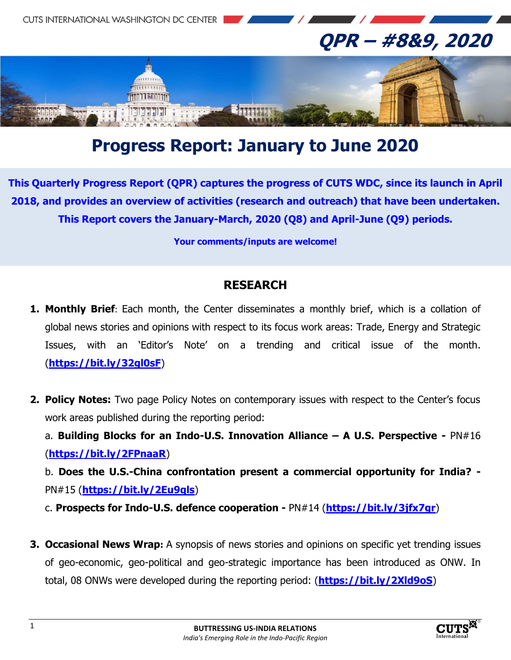

# **Progress Report: January to June 2020**

**This Quarterly Progress Report (QPR) captures the progress of CUTS WDC, since its launch in April 2018, and provides an overview of activities (research and outreach) that have been undertaken. This Report covers the January-March, 2020 (Q8) and April-June (Q9) periods.**

**Your comments/inputs are welcome!**

#### **RESEARCH**

- **1. Monthly Brief**: Each month, the Center disseminates a monthly brief, which is a collation of global news stories and opinions with respect to its focus work areas: Trade, Energy and Strategic Issues, with an 'Editor's Note' on a trending and critical issue of the month. (**https://bit.ly/32gl0sF**)
- **2. Policy Notes:** Two page Policy Notes on contemporary issues with respect to the Center's focus work areas published during the reporting period:

a. **Building Blocks for an Indo-U.S. Innovation Alliance – A U.S. Perspective -** PN#16 (**https://bit.ly/2FPnaaR**)

b. **Does the U.S.-China confrontation present a commercial opportunity for India? -** PN#15 (**https://bit.ly/2Eu9qls**)

c. **Prospects for Indo-U.S. defence cooperation -** PN#14 (**https://bit.ly/3jfx7gr**)

**3. Occasional News Wrap:** A synopsis of news stories and opinions on specific yet trending issues of geo-economic, geo-political and geo-strategic importance has been introduced as ONW. In total, 08 ONWs were developed during the reporting period: (**https://bit.ly/2Xld9oS**)